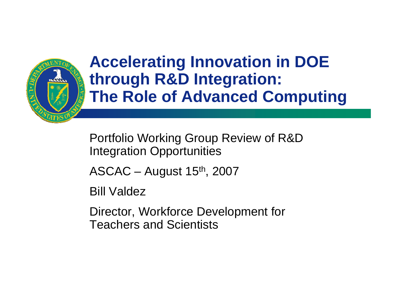

### **Accelerating Innovation in DOE through R&D Integration: The Role of Advanced Computing**

Portfolio Working Group Review of R&D Integration Opportunities

 $ASCAC - August 15<sup>th</sup>, 2007$ 

Bill Valdez

Director, Workforce Development for Teachers and Scientists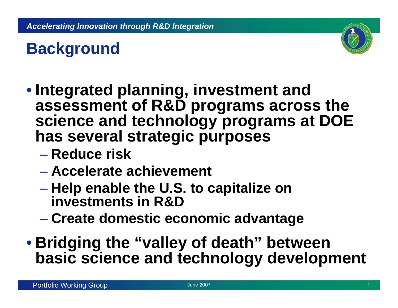

# **Background**

- **Integrated planning, investment and assessment of R&D programs across the science and technology programs at DOE has several strategic purposes**
	- **Reduce risk**
	- **Accelerate achievement**
	- **Help enable the U.S. to capitalize on investments in R&D**
	- $\mathcal{L}_{\mathcal{A}}$ **Create domestic economic advantage**
- **Bridging the "valley of death" between basic science and technology development**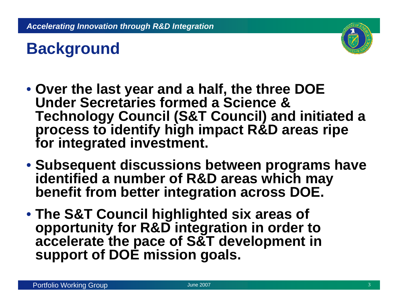

# **Background**

- **Over the last year and a half, the three DOE Under Secretaries formed a Science & Technology Council (S&T Council) and initiated a process to identify high impact R&D areas ripe for integrated investment.**
- **Subsequent discussions between programs have identified a number of R&D areas which may benefit from better integration across DOE.**
- **The S&T Council highlighted six areas of opportunity for R&D integration in order to accelerate the pace of S&T development in support of DOE mission goals.**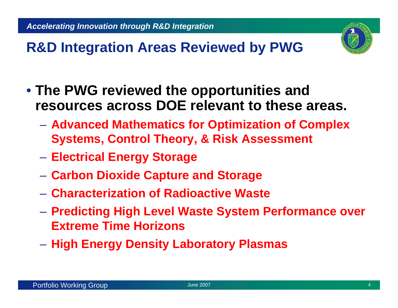

### **R&D Integration Areas Reviewed by PWG**

- **The PWG reviewed the opportunities and resources across DOE relevant to these areas.** 
	- **Advanced Mathematics for Optimization of Complex Systems, Control Theory, & Risk Assessment**
	- $\mathcal{L}_{\mathcal{A}}$ **Electrical Energy Storage**
	- $\mathcal{L}_{\mathcal{A}}$ **Carbon Dioxide Capture and Storage**
	- **Characterization of Radioactive Waste**
	- $\mathcal{L}_{\mathcal{A}}$  **Predicting High Level Waste System Performance over Extreme Time Horizons**
	- **High Energy Density Laboratory Plasmas**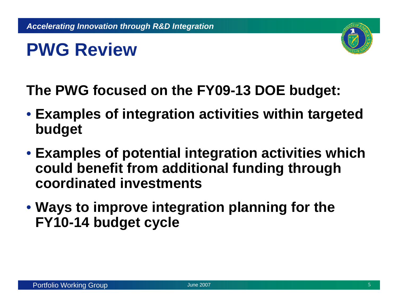# **PWG Review**



**The PWG focused on the FY09-13 DOE budget:**

- **Examples of integration activities within targeted budget**
- **Examples of potential integration activities which could benefit from additional funding through coordinated investments**
- **Ways to improve integration planning for the FY10-14 budget cycle**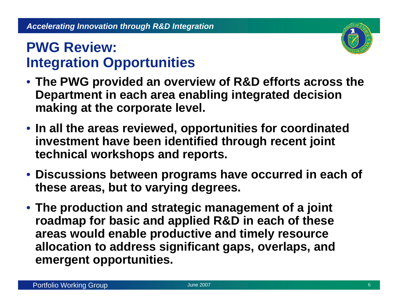### **PWG Review: Integration Opportunities**



- **The PWG provided an overview of R&D efforts across the Department in each area enabling integrated decision making at the corporate level.**
- **In all the areas reviewed, opportunities for coordinated investment have been identified through recent joint technical workshops and reports.**
- **Discussions between programs have occurred in each of these areas, but to varying degrees.**
- **The production and strategic management of a joint roadmap for basic and applied R&D in each of these areas would enable productive and timely resource allocation to address significant gaps, overlaps, and emergent opportunities.**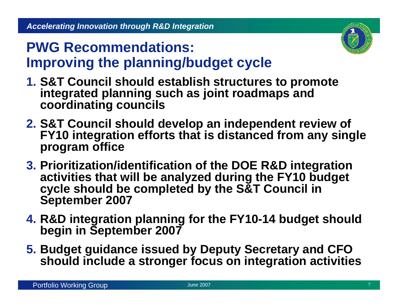

### **PWG Recommendations: Improving the planning/budget cycle**

- **1. S&T Council should establish structures to promote integrated planning such as joint roadmaps and coordinating councils**
- **2. S&T Council should develop an independent review of FY10 integration efforts that is distanced from any single program office**
- **3. Prioritization/identification of the DOE R&D integration activities that will be analyzed during the FY10 budget cycle should be completed by the S&T Council in September 2007**
- **4. R&D integration planning for the FY10-14 budget should begin in September 2007**
- **5. Budget guidance issued by Deputy Secretary and CFO should include a stronger focus on integration activities**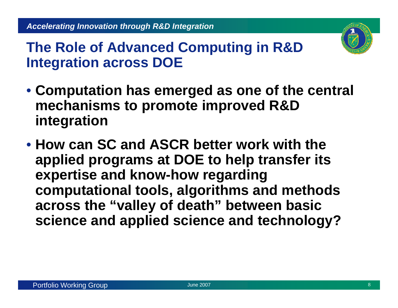

- **Computation has emerged as one of the central mechanisms to promote improved R&D integration**
- **How can SC and ASCR better work with the applied programs at DOE to help transfer its expertise and know-how regarding computational tools, algorithms and methods across the "valley of death" between basic science and applied science and technology?**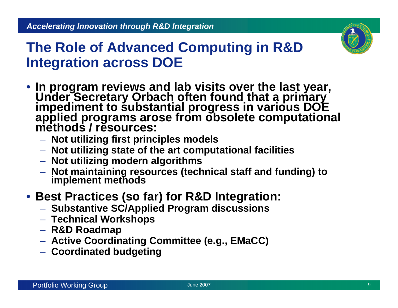

- In program reviews and lab visits over the last year,<br>Under Secretary Orbach often found that a primary<br>impediment to substantial progress in various DOE<br>applied programs arose from obsolete computational<br>methods / resou
	- **Not utilizing first principles models**
	- **Not utilizing state of the art computational facilities**
	- **Not utilizing modern algorithms**
	- **Not maintaining resources (technical staff and funding) to implement methods**

### • **Best Practices (so far) for R&D Integration:**

- **Substantive SC/Applied Program discussions**
- **Technical Workshops**
- **R&D Roadmap**
- **Active Coordinating Committee (e.g., EMaCC)**
- **Coordinated budgeting**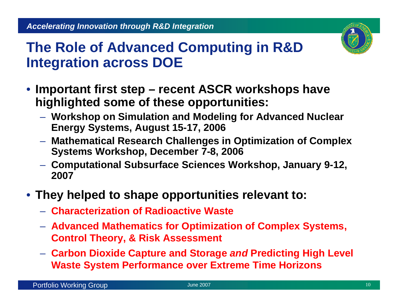

- **Important first step – recent ASCR workshops have highlighted some of these opportunities:**
	- **Workshop on Simulation and Modeling for Advanced Nuclear Energy Systems, August 15-17, 2006**
	- **Mathematical Research Challenges in Optimization of Complex Systems Workshop, December 7-8, 2006**
	- **Computational Subsurface Sciences Workshop, January 9-12, 2007**
- **They helped to shape opportunities relevant to:**
	- **Characterization of Radioactive Waste**
	- **Advanced Mathematics for Optimization of Complex Systems, Control Theory, & Risk Assessment**
	- **Carbon Dioxide Capture and Storage** *and* **Predicting High Level Waste System Performance over Extreme Time Horizons**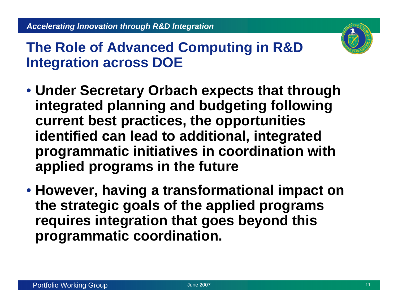

- **Under Secretary Orbach expects that through integrated planning and budgeting following current best practices, the opportunities identified can lead to additional, integrated programmatic initiatives in coordination with applied programs in the future**
- **However, having a transformational impact on the strategic goals of the applied programs requires integration that goes beyond this programmatic coordination.**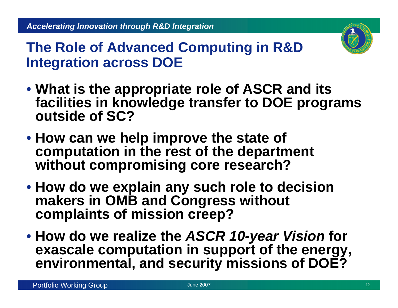

- **What is the appropriate role of ASCR and its facilities in knowledge transfer to DOE programs outside of SC?**
- **How can we help improve the state of computation in the rest of the department without compromising core research?**
- **How do we explain any such role to decision makers in OMB and Congress without complaints of mission creep?**
- **How do we realize the** *ASCR 10-year Vision* **for exascale computation in support of the energy, environmental, and security missions of DOE?**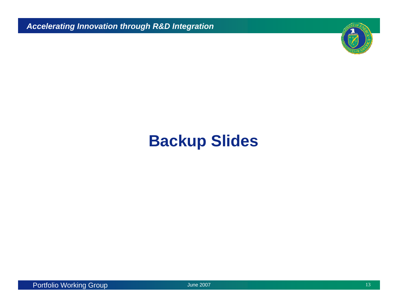*Accelerating Innovation through R&D Integration*



## **Backup Slides**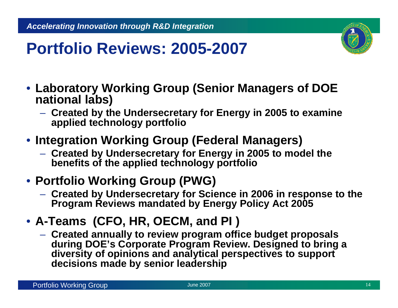

## **Portfolio Reviews: 2005-2007**

- **Laboratory Working Group (Senior Managers of DOE national labs)**
	- **Created by the Undersecretary for Energy in 2005 to examine applied technology portfolio**
- **Integration Working Group (Federal Managers)**
	- **Created by Undersecretary for Energy in 2005 to model the benefits of the applied technology portfolio**

### • **Portfolio Working Group (PWG)**

- **Created by Undersecretary for Science in 2006 in response to the Program Reviews mandated by Energy Policy Act 2005**
- **A-Teams (CFO, HR, OECM, and PI )**
	- **Created annually to review program office budget proposals during DOE's Corporate Program Review. Designed to bring a diversity of opinions and analytical perspectives to support decisions made by senior leadership**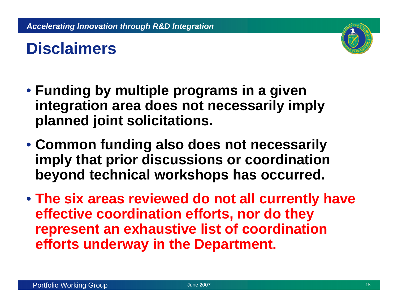# **Disclaimers**

- **Funding by multiple programs in a given integration area does not necessarily imply planned joint solicitations.**
- **Common funding also does not necessarily imply that prior discussions or coordination beyond technical workshops has occurred.**
- **The six areas reviewed do not all currently have effective coordination efforts, nor do they represent an exhaustive list of coordination efforts underway in the Department.**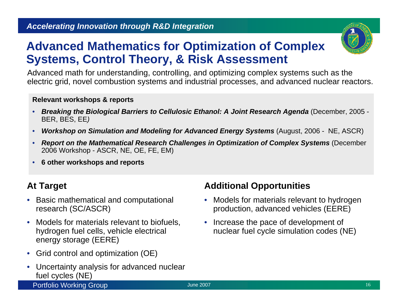### **Advanced Mathematics for Optimization of Complex Systems, Control Theory, & Risk Assessment**

Advanced math for understanding, controlling, and optimizing complex systems such as the electric grid, novel combustion systems and industrial processes, and advanced nuclear reactors.

#### **Relevant workshops & reports**

- *Breaking the Biological Barriers to Cellulosic Ethanol: A Joint Research Agenda* (December, 2005 BER, BES, EE*)*
- •*Workshop on Simulation and Modeling for Advanced Energy Systems* (August, 2006 - NE, ASCR)
- • *Report on the Mathematical Research Challenges in Optimization of Complex Systems* (December 2006 Workshop - ASCR, NE, OE, FE, EM)
- •**6 other workshops and reports**

### **At Target**

- Basic mathematical and computational research (SC/ASCR)
- Models for materials relevant to biofuels, hydrogen fuel cells, vehicle electrical energy storage (EERE)
- Grid control and optimization (OE)
- Uncertainty analysis for advanced nuclear fuel cycles (NE)

#### **Additional Opportunities**

- Models for materials relevant to hydrogen production, advanced vehicles (EERE)
- Increase the pace of development of nuclear fuel cycle simulation codes (NE)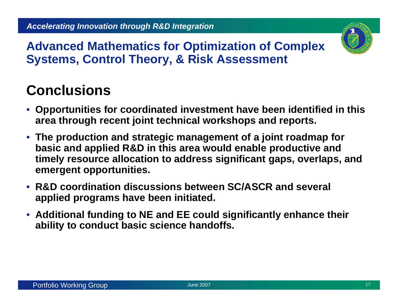

**Advanced Mathematics for Optimization of Complex Systems, Control Theory, & Risk Assessment**

- **Opportunities for coordinated investment have been identified in this area through recent joint technical workshops and reports.**
- **The production and strategic management of a joint roadmap for basic and applied R&D in this area would enable productive and timely resource allocation to address significant gaps, overlaps, and emergent opportunities.**
- **R&D coordination discussions between SC/ASCR and several applied programs have been initiated.**
- **Additional funding to NE and EE could significantly enhance their ability to conduct basic science handoffs.**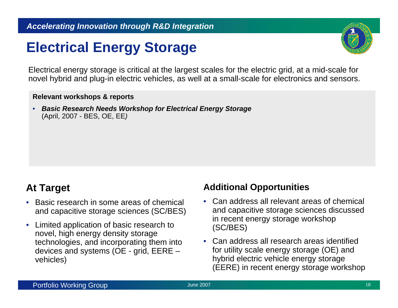### **Electrical Energy Storage**



Electrical energy storage is critical at the largest scales for the electric grid, at a mid-scale for novel hybrid and plug-in electric vehicles, as well at a small-scale for electronics and sensors.

#### **Relevant workshops & reports**

• *Basic Research Needs Workshop for Electrical Energy Storage* (April, 2007 - BES, OE, EE*)*

### **At Target**

- • Basic research in some areas of chemical and capacitive storage sciences (SC/BES)
- Limited application of basic research to novel, high energy density storage technologies, and incorporating them into devices and systems (OE - grid, EERE – vehicles)

#### **Additional Opportunities**

- Can address all relevant areas of chemical and capacitive storage sciences discussed in recent energy storage workshop (SC/BES)
- Can address all research areas identified for utility scale energy storage (OE) and hybrid electric vehicle energy storage (EERE) in recent energy storage workshop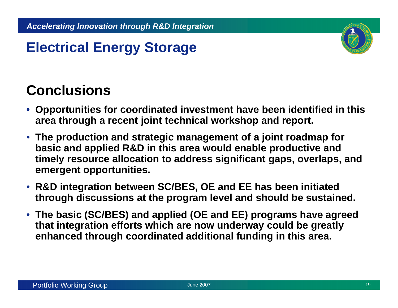

### **Electrical Energy Storage**

- **Opportunities for coordinated investment have been identified in this area through a recent joint technical workshop and report.**
- **The production and strategic management of a joint roadmap for basic and applied R&D in this area would enable productive and timely resource allocation to address significant gaps, overlaps, and emergent opportunities.**
- **R&D integration between SC/BES, OE and EE has been initiated through discussions at the program level and should be sustained.**
- **The basic (SC/BES) and applied (OE and EE) programs have agreed that integration efforts which are now underway could be greatly enhanced through coordinated additional funding in this area.**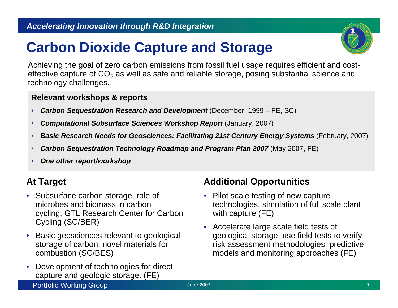#### *Accelerating Innovation through R&D Integration*

### **Carbon Dioxide Capture and Storage**



Achieving the goal of zero carbon emissions from fossil fuel usage requires efficient and costeffective capture of CO<sub>2</sub> as well as safe and reliable storage, posing substantial science and technology challenges.

#### **Relevant workshops & reports**

- •*Carbon Sequestration Research and Development* (December, 1999 – FE, SC)
- •**Computational Subsurface Sciences Workshop Report (January, 2007)**
- •*Basic Research Needs for Geosciences: Facilitating 21st Century Energy Systems* (February, 2007)
- •*Carbon Sequestration Technology Roadmap and Program Plan 2007 (May 2007, FE)*
- •*One other report/workshop*

#### **At Target**

- Subsurface carbon storage, role of microbes and biomass in carbon cycling, GTL Research Center for Carbon Cycling (SC/BER)
- • Basic geosciences relevant to geological storage of carbon, novel materials for combustion (SC/BES)
- Development of technologies for direct capture and geologic storage. (FE)

#### **Additional Opportunities**

- Pilot scale testing of new capture technologies, simulation of full scale plant with capture (FE)
- Accelerate large scale field tests of geological storage, use field tests to verify risk assessment methodologies, predictive models and monitoring approaches (FE)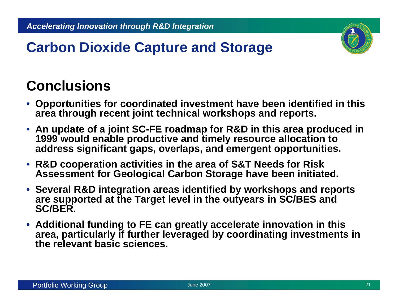

### **Carbon Dioxide Capture and Storage**

- **Opportunities for coordinated investment have been identified in this area through recent joint technical workshops and reports.**
- **An update of a joint SC-FE roadmap for R&D in this area produced in 1999 would enable productive and timely resource allocation to address significant gaps, overlaps, and emergent opportunities.**
- **R&D cooperation activities in the area of S&T Needs for Risk Assessment for Geological Carbon Storage have been initiated.**
- **Several R&D integration areas identified by workshops and reports are supported at the Target level in the outyears in SC/BES and SC/BER.**
- **Additional funding to FE can greatly accelerate innovation in this area, particularly if further leveraged by coordinating investments in the relevant basic sciences.**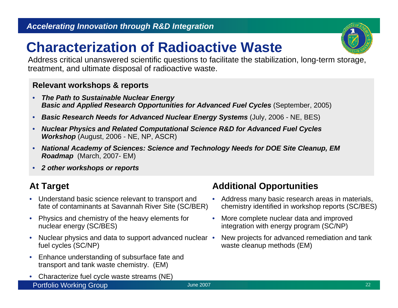### **Characterization of Radioactive Waste**

Address critical unanswered scientific questions to facilitate the stabilization, long-term storage, treatment, and ultimate disposal of radioactive waste.

#### **Relevant workshops & reports**

- • *The Path to Sustainable Nuclear Energy Basic and Applied Research Opportunities for Advanced Fuel Cycles* (September, 2005)
- •*Basic Research Needs for Advanced Nuclear Energy Systems* (July, 2006 - NE, BES)
- $\bullet$  *Nuclear Physics and Related Computational Science R&D for Advanced Fuel Cycles Workshop* (August, 2006 - NE, NP, ASCR)
- • *National Academy of Sciences: Science and Technology Needs for DOE Site Cleanup, EM Roadmap* (March, 2007- EM)
- •*2 other workshops or reports*

### **At Target**

- $\bullet$  Understand basic science relevant to transport and fate of contaminants at Savannah River Site (SC/BER)
- $\bullet$  Physics and chemistry of the heavy elements for nuclear energy (SC/BES)
- $\bullet$ • Nuclear physics and data to support advanced nuclear • fuel cycles (SC/NP)
- Enhance understanding of subsurface fate and transport and tank waste chemistry. (EM)
- Portfolio Working Group 22 • Characterize fuel cycle waste streams (NE)

#### **Additional Opportunities**

- Address many basic research areas in materials, chemistry identified in workshop reports (SC/BES)
- • More complete nuclear data and improved integration with energy program (SC/NP)
- New projects for advanced remediation and tank waste cleanup methods (EM)

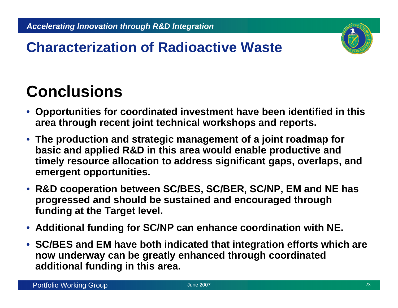

### **Characterization of Radioactive Waste**

- **Opportunities for coordinated investment have been identified in this area through recent joint technical workshops and reports.**
- **The production and strategic management of a joint roadmap for basic and applied R&D in this area would enable productive and timely resource allocation to address significant gaps, overlaps, and emergent opportunities.**
- **R&D cooperation between SC/BES, SC/BER, SC/NP, EM and NE has progressed and should be sustained and encouraged through funding at the Target level.**
- **Additional funding for SC/NP can enhance coordination with NE.**
- **SC/BES and EM have both indicated that integration efforts which are now underway can be greatly enhanced through coordinated additional funding in this area.**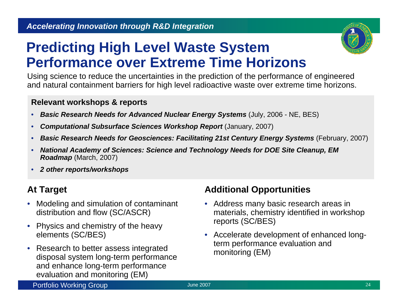

### **Predicting High Level Waste System Performance over Extreme Time Horizons**

Using science to reduce the uncertainties in the prediction of the performance of engineered and natural containment barriers for high level radioactive waste over extreme time horizons.

#### **Relevant workshops & reports**

- $\bullet$ *Basic Research Needs for Advanced Nuclear Energy Systems* (July, 2006 - NE, BES)
- $\bullet$ **Computational Subsurface Sciences Workshop Report (January, 2007)**
- •*Basic Research Needs for Geosciences: Facilitating 21st Century Energy Systems* (February, 2007)
- • *National Academy of Sciences: Science and Technology Needs for DOE Site Cleanup, EM Roadmap* (March, 2007)
- •*2 other reports/workshops*

#### **At Target**

- Modeling and simulation of contaminant distribution and flow (SC/ASCR)
- Physics and chemistry of the heavy elements (SC/BES)
- • Research to better assess integrated disposal system long-term performance and enhance long-term performance evaluation and monitoring (EM)

#### **Additional Opportunities**

- Address many basic research areas in materials, chemistry identified in workshop reports (SC/BES)
- Accelerate development of enhanced longterm performance evaluation and monitoring (EM)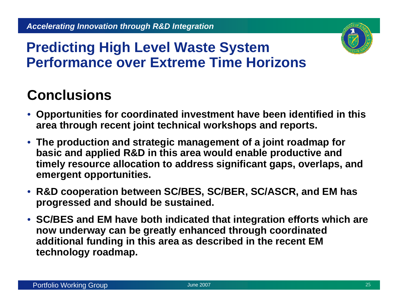

### **Predicting High Level Waste System Performance over Extreme Time Horizons**

- **Opportunities for coordinated investment have been identified in this area through recent joint technical workshops and reports.**
- **The production and strategic management of a joint roadmap for basic and applied R&D in this area would enable productive and timely resource allocation to address significant gaps, overlaps, and emergent opportunities.**
- **R&D cooperation between SC/BES, SC/BER, SC/ASCR, and EM has progressed and should be sustained.**
- **SC/BES and EM have both indicated that integration efforts which are now underway can be greatly enhanced through coordinated additional funding in this area as described in the recent EM technology roadmap.**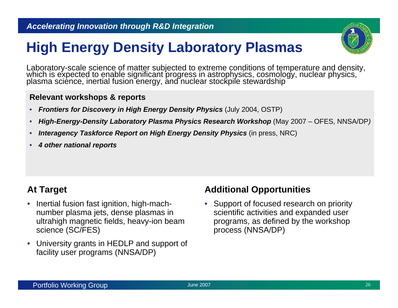

### **High Energy Density Laboratory Plasmas**

Laboratory-scale science of matter subjected to extreme conditions of temperature and density, which is expected to enable significant progress in astrophysics, cosmology, nuclear physics, plasma science, inertial fusion e

#### **Relevant workshops & reports**

- $\bullet$ *Frontiers for Discovery in High Energy Density Physics* (July 2004, OSTP)
- •*High-Energy-Density Laboratory Plasma Physics Research Workshop* (May 2007 – OFES, NNSA/DP*)*
- •*Interagency Taskforce Report on High Energy Density Physics* (in press, NRC)
- •*4 other national reports*

#### **At Target**

- Inertial fusion fast ignition, high-machnumber plasma jets, dense plasmas in ultrahigh magnetic fields, heavy-ion beam science (SC/FES)
- University grants in HEDLP and support of facility user programs (NNSA/DP)

#### **Additional Opportunities**

• Support of focused research on priority scientific activities and expanded user programs, as defined by the workshop process (NNSA/DP)